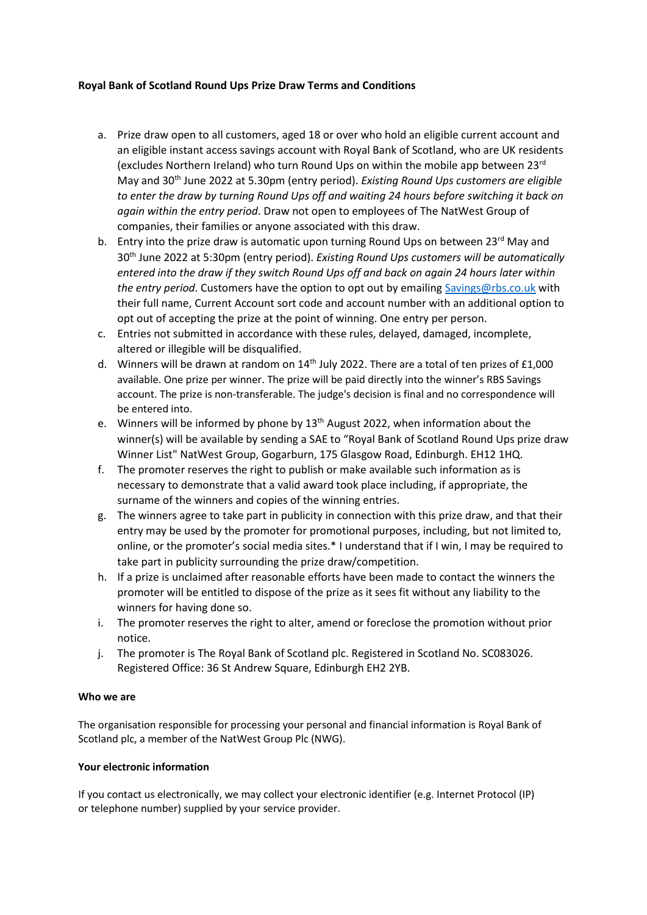## **Royal Bank of Scotland Round Ups Prize Draw Terms and Conditions**

- a. Prize draw open to all customers, aged 18 or over who hold an eligible current account and an eligible instant access savings account with Royal Bank of Scotland, who are UK residents (excludes Northern Ireland) who turn Round Ups on within the mobile app between 23rd May and 30th June 2022 at 5.30pm (entry period). *Existing Round Ups customers are eligible to enter the draw by turning Round Ups off and waiting 24 hours before switching it back on again within the entry period*. Draw not open to employees of The NatWest Group of companies, their families or anyone associated with this draw.
- b. Entry into the prize draw is automatic upon turning Round Ups on between 23 $^{rd}$  May and 30th June 2022 at 5:30pm (entry period). *Existing Round Ups customers will be automatically entered into the draw if they switch Round Ups off and back on again 24 hours later within the entry period*. Customers have the option to opt out by emailin[g Savings@rbs.co.uk](mailto:Savings@rbs.co.uk) with their full name, Current Account sort code and account number with an additional option to opt out of accepting the prize at the point of winning. One entry per person.
- c. Entries not submitted in accordance with these rules, delayed, damaged, incomplete, altered or illegible will be disqualified.
- d. Winners will be drawn at random on 14<sup>th</sup> July 2022. There are a total of ten prizes of £1,000 available. One prize per winner. The prize will be paid directly into the winner's RBS Savings account. The prize is non-transferable. The judge's decision is final and no correspondence will be entered into.
- e. Winners will be informed by phone by  $13<sup>th</sup>$  August 2022, when information about the winner(s) will be available by sending a SAE to "Royal Bank of Scotland Round Ups prize draw Winner List" NatWest Group, Gogarburn, 175 Glasgow Road, Edinburgh. EH12 1HQ.
- f. The promoter reserves the right to publish or make available such information as is necessary to demonstrate that a valid award took place including, if appropriate, the surname of the winners and copies of the winning entries.
- g. The winners agree to take part in publicity in connection with this prize draw, and that their entry may be used by the promoter for promotional purposes, including, but not limited to, online, or the promoter's social media sites.\* I understand that if I win, I may be required to take part in publicity surrounding the prize draw/competition.
- h. If a prize is unclaimed after reasonable efforts have been made to contact the winners the promoter will be entitled to dispose of the prize as it sees fit without any liability to the winners for having done so.
- i. The promoter reserves the right to alter, amend or foreclose the promotion without prior notice.
- j. The promoter is The Royal Bank of Scotland plc. Registered in Scotland No. SC083026. Registered Office: 36 St Andrew Square, Edinburgh EH2 2YB.

## **Who we are**

The organisation responsible for processing your personal and financial information is Royal Bank of Scotland plc, a member of the NatWest Group Plc (NWG).

## **Your electronic information**

If you contact us electronically, we may collect your electronic identifier (e.g. Internet Protocol (IP) or telephone number) supplied by your service provider.